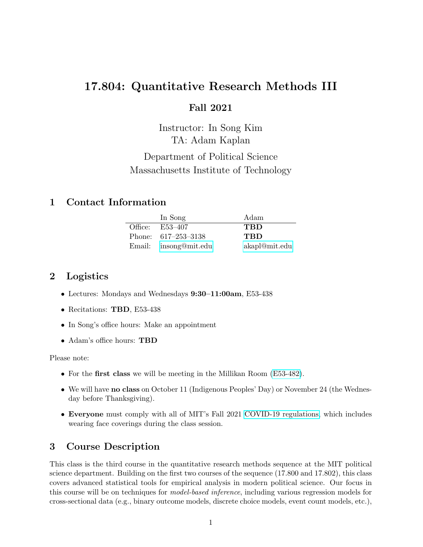# 17.804: Quantitative Research Methods III

# Fall 2021

Instructor: In Song Kim TA: Adam Kaplan Department of Political Science Massachusetts Institute of Technology

# 1 Contact Information

| In Song               | Adam          |
|-----------------------|---------------|
| Office: E53-407       | <b>TBD</b>    |
| Phone: $617-253-3138$ | <b>TBD</b>    |
| Email: insong@mit.edu | akapl@mit.edu |

# 2 Logistics

- Lectures: Mondays and Wednesdays 9:30–11:00am, E53-438
- Recitations: TBD, E53-438
- In Song's office hours: Make an appointment
- Adam's office hours: TBD

Please note:

- For the first class we will be meeting in the Millikan Room [\(E53-482\)](http://whereis.mit.edu/?go=E53).
- We will have no class on October 11 (Indigenous Peoples' Day) or November 24 (the Wednesday before Thanksgiving).
- Everyone must comply with all of MIT's Fall 2021 [COVID-19 regulations,](https://studentlife.mit.edu/covid19gradpolicies#ID%20Wearing,%20Sharing%20&%20Tailgating) which includes wearing face coverings during the class session.

# 3 Course Description

This class is the third course in the quantitative research methods sequence at the MIT political science department. Building on the first two courses of the sequence (17.800 and 17.802), this class covers advanced statistical tools for empirical analysis in modern political science. Our focus in this course will be on techniques for *model-based inference*, including various regression models for cross-sectional data (e.g., binary outcome models, discrete choice models, event count models, etc.),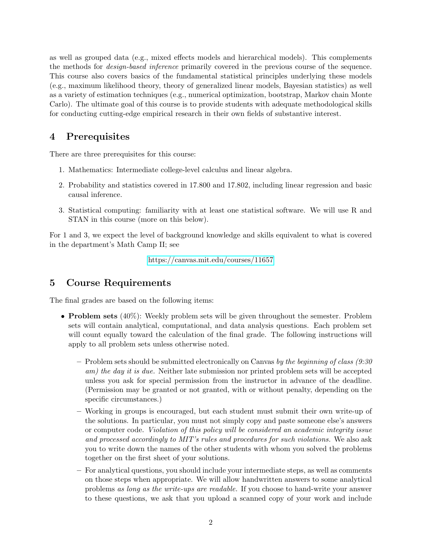as well as grouped data (e.g., mixed effects models and hierarchical models). This complements the methods for design-based inference primarily covered in the previous course of the sequence. This course also covers basics of the fundamental statistical principles underlying these models (e.g., maximum likelihood theory, theory of generalized linear models, Bayesian statistics) as well as a variety of estimation techniques (e.g., numerical optimization, bootstrap, Markov chain Monte Carlo). The ultimate goal of this course is to provide students with adequate methodological skills for conducting cutting-edge empirical research in their own fields of substantive interest.

# 4 Prerequisites

There are three prerequisites for this course:

- 1. Mathematics: Intermediate college-level calculus and linear algebra.
- 2. Probability and statistics covered in 17.800 and 17.802, including linear regression and basic causal inference.
- 3. Statistical computing: familiarity with at least one statistical software. We will use R and STAN in this course (more on this below).

For 1 and 3, we expect the level of background knowledge and skills equivalent to what is covered in the department's Math Camp II; see

<https://canvas.mit.edu/courses/11657>

# 5 Course Requirements

The final grades are based on the following items:

- **Problem sets**  $(40\%)$ : Weekly problem sets will be given throughout the semester. Problem sets will contain analytical, computational, and data analysis questions. Each problem set will count equally toward the calculation of the final grade. The following instructions will apply to all problem sets unless otherwise noted.
	- Problem sets should be submitted electronically on Canvas by the beginning of class  $(9.30)$ am) the day it is due. Neither late submission nor printed problem sets will be accepted unless you ask for special permission from the instructor in advance of the deadline. (Permission may be granted or not granted, with or without penalty, depending on the specific circumstances.)
	- Working in groups is encouraged, but each student must submit their own write-up of the solutions. In particular, you must not simply copy and paste someone else's answers or computer code. Violation of this policy will be considered an academic integrity issue and processed accordingly to MIT's rules and procedures for such violations. We also ask you to write down the names of the other students with whom you solved the problems together on the first sheet of your solutions.
	- For analytical questions, you should include your intermediate steps, as well as comments on those steps when appropriate. We will allow handwritten answers to some analytical problems as long as the write-ups are readable. If you choose to hand-write your answer to these questions, we ask that you upload a scanned copy of your work and include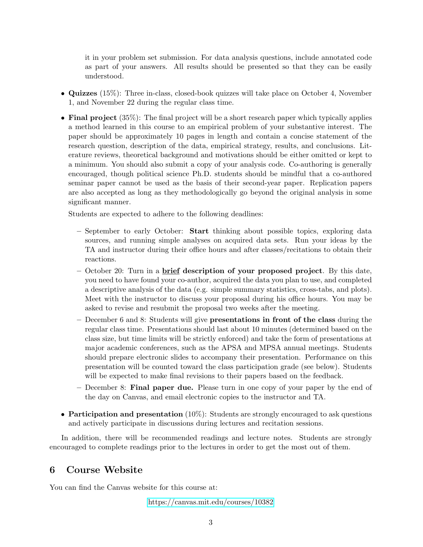it in your problem set submission. For data analysis questions, include annotated code as part of your answers. All results should be presented so that they can be easily understood.

- Quizzes (15%): Three in-class, closed-book quizzes will take place on October 4, November 1, and November 22 during the regular class time.
- Final project (35%): The final project will be a short research paper which typically applies a method learned in this course to an empirical problem of your substantive interest. The paper should be approximately 10 pages in length and contain a concise statement of the research question, description of the data, empirical strategy, results, and conclusions. Literature reviews, theoretical background and motivations should be either omitted or kept to a minimum. You should also submit a copy of your analysis code. Co-authoring is generally encouraged, though political science Ph.D. students should be mindful that a co-authored seminar paper cannot be used as the basis of their second-year paper. Replication papers are also accepted as long as they methodologically go beyond the original analysis in some significant manner.

Students are expected to adhere to the following deadlines:

- September to early October: Start thinking about possible topics, exploring data sources, and running simple analyses on acquired data sets. Run your ideas by the TA and instructor during their office hours and after classes/recitations to obtain their reactions.
- October 20: Turn in a brief description of your proposed project. By this date, you need to have found your co-author, acquired the data you plan to use, and completed a descriptive analysis of the data (e.g. simple summary statistics, cross-tabs, and plots). Meet with the instructor to discuss your proposal during his office hours. You may be asked to revise and resubmit the proposal two weeks after the meeting.
- December 6 and 8: Students will give presentations in front of the class during the regular class time. Presentations should last about 10 minutes (determined based on the class size, but time limits will be strictly enforced) and take the form of presentations at major academic conferences, such as the APSA and MPSA annual meetings. Students should prepare electronic slides to accompany their presentation. Performance on this presentation will be counted toward the class participation grade (see below). Students will be expected to make final revisions to their papers based on the feedback.
- December 8: Final paper due. Please turn in one copy of your paper by the end of the day on Canvas, and email electronic copies to the instructor and TA.
- Participation and presentation  $(10\%)$ : Students are strongly encouraged to ask questions and actively participate in discussions during lectures and recitation sessions.

In addition, there will be recommended readings and lecture notes. Students are strongly encouraged to complete readings prior to the lectures in order to get the most out of them.

# 6 Course Website

You can find the Canvas website for this course at:

<https://canvas.mit.edu/courses/10382>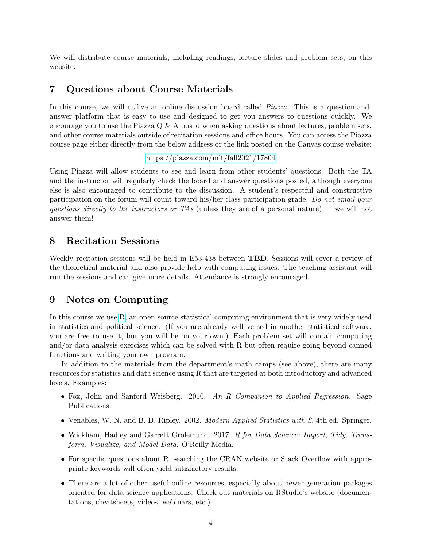We will distribute course materials, including readings, lecture slides and problem sets, on this website.

# 7 Questions about Course Materials

In this course, we will utilize an online discussion board called *Piazza*. This is a question-andanswer platform that is easy to use and designed to get you answers to questions quickly. We encourage you to use the Piazza  $Q \& A$  board when asking questions about lectures, problem sets, and other course materials outside of recitation sessions and office hours. You can access the Piazza course page either directly from the below address or the link posted on the Canvas course website:

#### <https://piazza.com/mit/fall2021/17804>

Using Piazza will allow students to see and learn from other students' questions. Both the TA and the instructor will regularly check the board and answer questions posted, although everyone else is also encouraged to contribute to the discussion. A student's respectful and constructive participation on the forum will count toward his/her class participation grade. Do not email your questions directly to the instructors or TAs (unless they are of a personal nature) — we will not answer them!

# 8 Recitation Sessions

Weekly recitation sessions will be held in E53-438 between **TBD**. Sessions will cover a review of the theoretical material and also provide help with computing issues. The teaching assistant will run the sessions and can give more details. Attendance is strongly encouraged.

## 9 Notes on Computing

In this course we use [R,](http://www.r-project.org/) an open-source statistical computing environment that is very widely used in statistics and political science. (If you are already well versed in another statistical software, you are free to use it, but you will be on your own.) Each problem set will contain computing and/or data analysis exercises which can be solved with R but often require going beyond canned functions and writing your own program.

In addition to the materials from the department's math camps (see above), there are many resources for statistics and data science using R that are targeted at both introductory and advanced levels. Examples:

- Fox, John and Sanford Weisberg. 2010. An R Companion to Applied Regression. Sage Publications.
- Venables, W. N. and B. D. Ripley. 2002. Modern Applied Statistics with S, 4th ed. Springer.
- Wickham, Hadley and Garrett Grolemund. 2017. R for Data Science: Import, Tidy, Transform, Visualize, and Model Data. O'Reilly Media.
- For specific questions about R, searching the CRAN website or Stack Overflow with appropriate keywords will often yield satisfactory results.
- There are a lot of other useful online resources, especially about newer-generation packages oriented for data science applications. Check out materials on RStudio's website (documentations, cheatsheets, videos, webinars, etc.).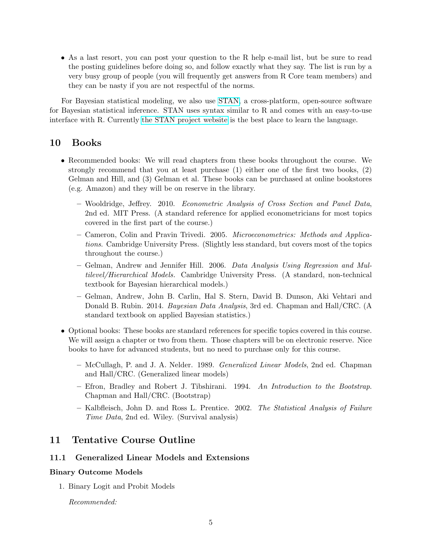• As a last resort, you can post your question to the R help e-mail list, but be sure to read the posting guidelines before doing so, and follow exactly what they say. The list is run by a very busy group of people (you will frequently get answers from R Core team members) and they can be nasty if you are not respectful of the norms.

For Bayesian statistical modeling, we also use [STAN,](http://mc-stan.org/) a cross-platform, open-source software for Bayesian statistical inference. STAN uses syntax similar to R and comes with an easy-to-use interface with R. Currently [the STAN project website](http://mc-stan.org/) is the best place to learn the language.

# 10 Books

- Recommended books: We will read chapters from these books throughout the course. We strongly recommend that you at least purchase (1) either one of the first two books, (2) Gelman and Hill, and (3) Gelman et al. These books can be purchased at online bookstores (e.g. Amazon) and they will be on reserve in the library.
	- Wooldridge, Jeffrey. 2010. Econometric Analysis of Cross Section and Panel Data, 2nd ed. MIT Press. (A standard reference for applied econometricians for most topics covered in the first part of the course.)
	- Cameron, Colin and Pravin Trivedi. 2005. Microeconometrics: Methods and Applications. Cambridge University Press. (Slightly less standard, but covers most of the topics throughout the course.)
	- Gelman, Andrew and Jennifer Hill. 2006. Data Analysis Using Regression and Multilevel/Hierarchical Models. Cambridge University Press. (A standard, non-technical textbook for Bayesian hierarchical models.)
	- Gelman, Andrew, John B. Carlin, Hal S. Stern, David B. Dunson, Aki Vehtari and Donald B. Rubin. 2014. Bayesian Data Analysis, 3rd ed. Chapman and Hall/CRC. (A standard textbook on applied Bayesian statistics.)
- Optional books: These books are standard references for specific topics covered in this course. We will assign a chapter or two from them. Those chapters will be on electronic reserve. Nice books to have for advanced students, but no need to purchase only for this course.
	- McCullagh, P. and J. A. Nelder. 1989. Generalized Linear Models, 2nd ed. Chapman and Hall/CRC. (Generalized linear models)
	- Efron, Bradley and Robert J. Tibshirani. 1994. An Introduction to the Bootstrap. Chapman and Hall/CRC. (Bootstrap)
	- Kalbfleisch, John D. and Ross L. Prentice. 2002. The Statistical Analysis of Failure Time Data, 2nd ed. Wiley. (Survival analysis)

# 11 Tentative Course Outline

#### 11.1 Generalized Linear Models and Extensions

#### Binary Outcome Models

1. Binary Logit and Probit Models

Recommended: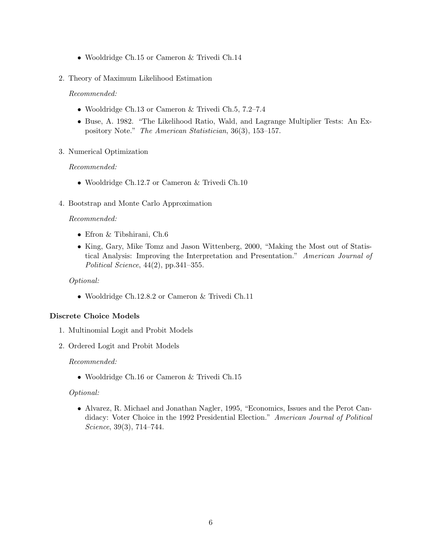- Wooldridge Ch.15 or Cameron & Trivedi Ch.14
- 2. Theory of Maximum Likelihood Estimation

Recommended:

- Wooldridge Ch.13 or Cameron & Trivedi Ch.5, 7.2–7.4
- Buse, A. 1982. "The Likelihood Ratio, Wald, and Lagrange Multiplier Tests: An Expository Note." The American Statistician, 36(3), 153–157.
- 3. Numerical Optimization

## Recommended:

- Wooldridge Ch.12.7 or Cameron & Trivedi Ch.10
- 4. Bootstrap and Monte Carlo Approximation

## Recommended:

- Efron & Tibshirani, Ch.6
- King, Gary, Mike Tomz and Jason Wittenberg, 2000, "Making the Most out of Statistical Analysis: Improving the Interpretation and Presentation." American Journal of Political Science, 44(2), pp.341–355.

# Optional:

• Wooldridge Ch.12.8.2 or Cameron & Trivedi Ch.11

## Discrete Choice Models

- 1. Multinomial Logit and Probit Models
- 2. Ordered Logit and Probit Models

## Recommended:

• Wooldridge Ch.16 or Cameron & Trivedi Ch.15

## Optional:

• Alvarez, R. Michael and Jonathan Nagler, 1995, "Economics, Issues and the Perot Candidacy: Voter Choice in the 1992 Presidential Election." American Journal of Political Science, 39(3), 714–744.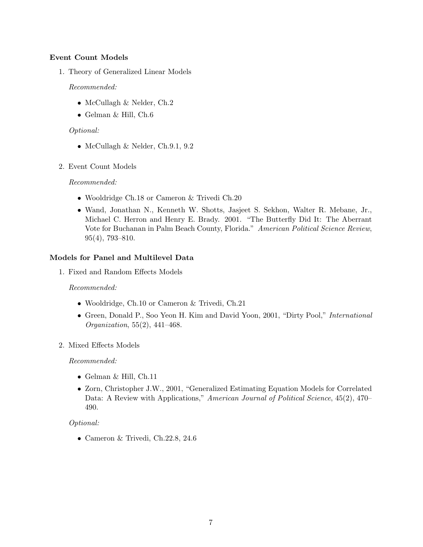## Event Count Models

1. Theory of Generalized Linear Models

#### Recommended:

- McCullagh & Nelder, Ch.2
- Gelman & Hill, Ch.6

## Optional:

- McCullagh & Nelder, Ch.9.1, 9.2
- 2. Event Count Models

## Recommended:

- Wooldridge Ch.18 or Cameron & Trivedi Ch.20
- Wand, Jonathan N., Kenneth W. Shotts, Jasjeet S. Sekhon, Walter R. Mebane, Jr., Michael C. Herron and Henry E. Brady. 2001. "The Butterfly Did It: The Aberrant Vote for Buchanan in Palm Beach County, Florida." American Political Science Review, 95(4), 793–810.

## Models for Panel and Multilevel Data

1. Fixed and Random Effects Models

## Recommended:

- Wooldridge, Ch.10 or Cameron & Trivedi, Ch.21
- Green, Donald P., Soo Yeon H. Kim and David Yoon, 2001, "Dirty Pool," International Organization, 55(2), 441–468.
- 2. Mixed Effects Models

## Recommended:

- Gelman & Hill, Ch.11
- Zorn, Christopher J.W., 2001, "Generalized Estimating Equation Models for Correlated Data: A Review with Applications," American Journal of Political Science, 45(2), 470– 490.

## Optional:

• Cameron & Trivedi, Ch.22.8, 24.6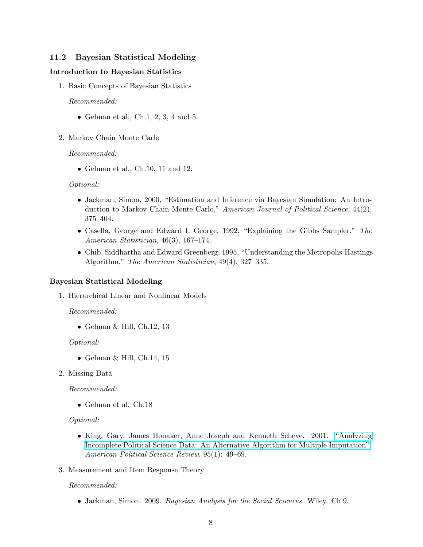# 11.2 Bayesian Statistical Modeling

#### Introduction to Bayesian Statistics

1. Basic Concepts of Bayesian Statistics

#### Recommended:

- Gelman et al., Ch.1, 2, 3, 4 and 5.
- 2. Markov Chain Monte Carlo

#### Recommended:

• Gelman et al., Ch.10, 11 and 12.

#### Optional:

- Jackman, Simon, 2000, "Estimation and Inference via Bayesian Simulation: An Introduction to Markov Chain Monte Carlo," American Journal of Political Science, 44(2), 375–404.
- Casella, George and Edward I. George, 1992, "Explaining the Gibbs Sampler," The American Statistician, 46(3), 167–174.
- Chib, Siddhartha and Edward Greenberg, 1995, "Understanding the Metropolis-Hastings Algorithm," The American Statistician, 49(4), 327–335.

#### Bayesian Statistical Modeling

1. Hierarchical Linear and Nonlinear Models

#### Recommended:

• Gelman  $\&$  Hill, Ch.12, 13

#### Optional:

- Gelman  $\&$  Hill, Ch.14, 15
- 2. Missing Data

#### Recommended:

• Gelman et al. Ch.18

#### Optional:

- King, Gary, James Honaker, Anne Joseph and Kenneth Scheve. 2001. ["Analyzing](http://www.jstor.org/stable/3117628) [Incomplete Political Science Data: An Alternative Algorithm for Multiple Imputation".](http://www.jstor.org/stable/3117628) American Political Science Review, 95(1): 49–69.
- 3. Measurement and Item Response Theory

#### Recommended:

• Jackman, Simon. 2009. Bayesian Analysis for the Social Sciences. Wiley. Ch.9.